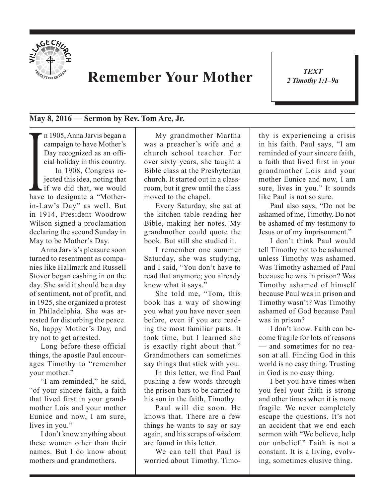

## **Remember Your Mother**

*TEXT 2 Timothy 1:1–9a* 1

## **May 8, 2016 — Sermon by Rev. Tom Are, Jr.**

cial holiday in this country.<br>In 1908, Congress re-<br>jected this idea, noting that<br>if we did that, we would<br>have to designate a "Mothern 1905, Anna Jarvis began a campaign to have Mother's Day recognized as an official holiday in this country. In 1908, Congress rejected this idea, noting that if we did that, we would in-Law's Day" as well. But in 1914, President Woodrow Wilson signed a proclamation declaring the second Sunday in May to be Mother's Day.

Anna Jarvis's pleasure soon turned to resentment as companies like Hallmark and Russell Stover began cashing in on the day. She said it should be a day of sentiment, not of profit, and in 1925, she organized a protest in Philadelphia. She was arrested for disturbing the peace. So, happy Mother's Day, and try not to get arrested.

Long before these official things, the apostle Paul encourages Timothy to "remember your mother."

"I am reminded," he said, "of your sincere faith, a faith that lived first in your grandmother Lois and your mother Eunice and now, I am sure, lives in you."

I don't know anything about these women other than their names. But I do know about mothers and grandmothers.

My grandmother Martha was a preacher's wife and a church school teacher. For over sixty years, she taught a Bible class at the Presbyterian church. It started out in a classroom, but it grew until the class moved to the chapel.

Every Saturday, she sat at the kitchen table reading her Bible, making her notes. My grandmother could quote the book. But still she studied it.

I remember one summer Saturday, she was studying, and I said, "You don't have to read that anymore; you already know what it says."

She told me, "Tom, this book has a way of showing you what you have never seen before, even if you are reading the most familiar parts. It took time, but I learned she is exactly right about that." Grandmothers can sometimes say things that stick with you.

In this letter, we find Paul pushing a few words through the prison bars to be carried to his son in the faith, Timothy.

Paul will die soon. He knows that. There are a few things he wants to say or say again, and his scraps of wisdom are found in this letter.

We can tell that Paul is worried about Timothy. Timothy is experiencing a crisis in his faith. Paul says, "I am reminded of your sincere faith, a faith that lived first in your grandmother Lois and your mother Eunice and now, I am sure, lives in you." It sounds like Paul is not so sure.

Paul also says, "Do not be ashamed of me, Timothy. Do not be ashamed of my testimony to Jesus or of my imprisonment."

I don't think Paul would tell Timothy not to be ashamed unless Timothy was ashamed. Was Timothy ashamed of Paul because he was in prison? Was Timothy ashamed of himself because Paul was in prison and Timothy wasn't? Was Timothy ashamed of God because Paul was in prison?

I don't know. Faith can become fragile for lots of reasons — and sometimes for no reason at all. Finding God in this world is no easy thing. Trusting in God is no easy thing.

I bet you have times when you feel your faith is strong and other times when it is more fragile. We never completely escape the questions. It's not an accident that we end each sermon with "We believe, help our unbelief." Faith is not a constant. It is a living, evolving, sometimes elusive thing.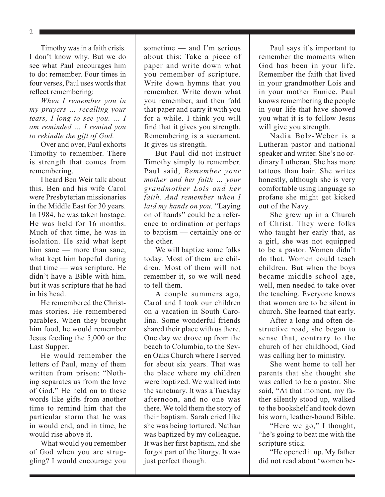2

Timothy was in a faith crisis. I don't know why. But we do see what Paul encourages him to do: remember. Four times in four verses, Paul uses words that reflect remembering:

*When I remember you in my prayers … recalling your tears, I long to see you. … I am reminded … I remind you to rekindle the gift of God.*

Over and over, Paul exhorts Timothy to remember. There is strength that comes from remembering.

I heard Ben Weir talk about this. Ben and his wife Carol were Presbyterian missionaries in the Middle East for 30 years. In 1984, he was taken hostage. He was held for 16 months. Much of that time, he was in isolation. He said what kept him sane — more than sane, what kept him hopeful during that time — was scripture. He didn't have a Bible with him, but it was scripture that he had in his head.

He remembered the Christmas stories. He remembered parables. When they brought him food, he would remember Jesus feeding the 5,000 or the Last Supper.

He would remember the letters of Paul, many of them written from prison: "Nothing separates us from the love of God." He held on to these words like gifts from another time to remind him that the particular storm that he was in would end, and in time, he would rise above it.

What would you remember of God when you are struggling? I would encourage you sometime — and I'm serious about this: Take a piece of paper and write down what you remember of scripture. Write down hymns that you remember. Write down what you remember, and then fold that paper and carry it with you for a while. I think you will find that it gives you strength. Remembering is a sacrament. It gives us strength.

But Paul did not instruct Timothy simply to remember. Paul said, *Remember your mother and her faith … your grandmother Lois and her faith. And remember when I laid my hands on you.* "Laying on of hands" could be a reference to ordination or perhaps to baptism — certainly one or the other.

We will baptize some folks today. Most of them are children. Most of them will not remember it, so we will need to tell them.

A couple summers ago, Carol and I took our children on a vacation in South Carolina. Some wonderful friends shared their place with us there. One day we drove up from the beach to Columbia, to the Seven Oaks Church where I served for about six years. That was the place where my children were baptized. We walked into the sanctuary. It was a Tuesday afternoon, and no one was there. We told them the story of their baptism. Sarah cried like she was being tortured. Nathan was baptized by my colleague. It was her first baptism, and she forgot part of the liturgy. It was just perfect though.

Paul says it's important to remember the moments when God has been in your life. Remember the faith that lived in your grandmother Lois and in your mother Eunice. Paul knows remembering the people in your life that have showed you what it is to follow Jesus will give you strength.

Nadia Bolz-Weber is a Lutheran pastor and national speaker and writer. She's no ordinary Lutheran. She has more tattoos than hair. She writes honestly, although she is very comfortable using language so profane she might get kicked out of the Navy.

She grew up in a Church of Christ. They were folks who taught her early that, as a girl, she was not equipped to be a pastor. Women didn't do that. Women could teach children. But when the boys became middle-school age, well, men needed to take over the teaching. Everyone knows that women are to be silent in church. She learned that early.

After a long and often destructive road, she began to sense that, contrary to the church of her childhood, God was calling her to ministry.

She went home to tell her parents that she thought she was called to be a pastor. She said, "At that moment, my father silently stood up, walked to the bookshelf and took down his worn, leather-bound Bible.

"Here we go," I thought, "he's going to beat me with the scripture stick.

"He opened it up. My father did not read about 'women be-